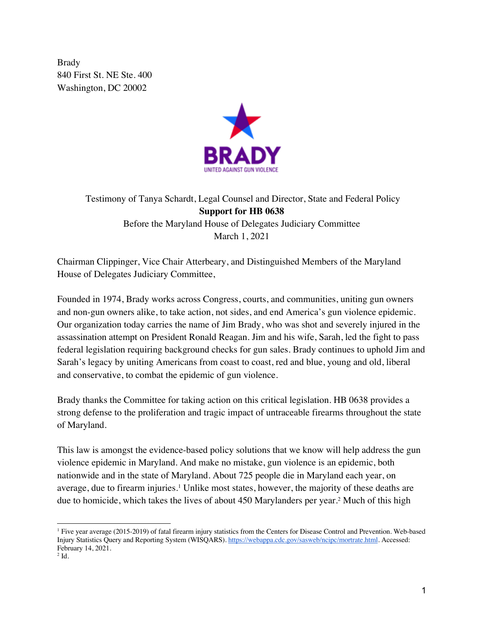Brady 840 First St. NE Ste. 400 Washington, DC 20002



Testimony of Tanya Schardt, Legal Counsel and Director, State and Federal Policy **Support for HB 0638** Before the Maryland House of Delegates Judiciary Committee March 1, 2021

Chairman Clippinger, Vice Chair Atterbeary, and Distinguished Members of the Maryland House of Delegates Judiciary Committee,

Founded in 1974, Brady works across Congress, courts, and communities, uniting gun owners and non-gun owners alike, to take action, not sides, and end America's gun violence epidemic. Our organization today carries the name of Jim Brady, who was shot and severely injured in the assassination attempt on President Ronald Reagan. Jim and his wife, Sarah, led the fight to pass federal legislation requiring background checks for gun sales. Brady continues to uphold Jim and Sarah's legacy by uniting Americans from coast to coast, red and blue, young and old, liberal and conservative, to combat the epidemic of gun violence.

Brady thanks the Committee for taking action on this critical legislation. HB 0638 provides a strong defense to the proliferation and tragic impact of untraceable firearms throughout the state of Maryland.

This law is amongst the evidence-based policy solutions that we know will help address the gun violence epidemic in Maryland. And make no mistake, gun violence is an epidemic, both nationwide and in the state of Maryland. About 725 people die in Maryland each year, on average, due to firearm injuries.<sup>1</sup> Unlike most states, however, the majority of these deaths are due to homicide, which takes the lives of about 450 Marylanders per year.2 Much of this high

<sup>1</sup> Five year average (2015-2019) of fatal firearm injury statistics from the Centers for Disease Control and Prevention. Web-based Injury Statistics Query and Reporting System (WISQARS). https://webappa.cdc.gov/sasweb/ncipc/mortrate.html. Accessed: February 14, 2021.

 $2$  Id.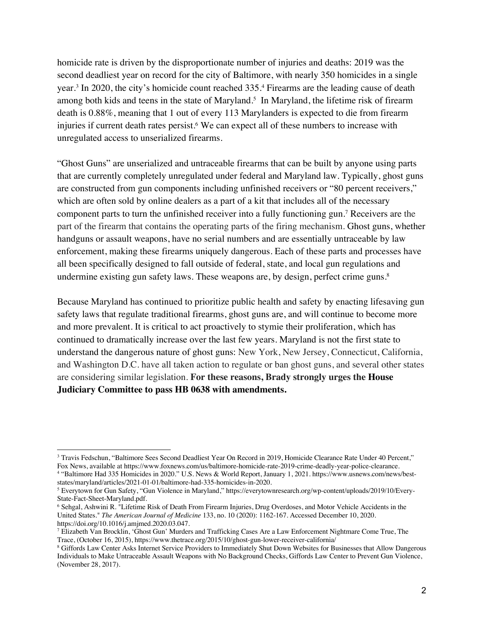homicide rate is driven by the disproportionate number of injuries and deaths: 2019 was the second deadliest year on record for the city of Baltimore, with nearly 350 homicides in a single year.3 In 2020, the city's homicide count reached 335.4 Firearms are the leading cause of death among both kids and teens in the state of Maryland.<sup>5</sup> In Maryland, the lifetime risk of firearm death is 0.88%, meaning that 1 out of every 113 Marylanders is expected to die from firearm injuries if current death rates persist.<sup>6</sup> We can expect all of these numbers to increase with unregulated access to unserialized firearms.

"Ghost Guns" are unserialized and untraceable firearms that can be built by anyone using parts that are currently completely unregulated under federal and Maryland law. Typically, ghost guns are constructed from gun components including unfinished receivers or "80 percent receivers," which are often sold by online dealers as a part of a kit that includes all of the necessary component parts to turn the unfinished receiver into a fully functioning gun.7 Receivers are the part of the firearm that contains the operating parts of the firing mechanism. Ghost guns, whether handguns or assault weapons, have no serial numbers and are essentially untraceable by law enforcement, making these firearms uniquely dangerous. Each of these parts and processes have all been specifically designed to fall outside of federal, state, and local gun regulations and undermine existing gun safety laws. These weapons are, by design, perfect crime guns.<sup>8</sup>

Because Maryland has continued to prioritize public health and safety by enacting lifesaving gun safety laws that regulate traditional firearms, ghost guns are, and will continue to become more and more prevalent. It is critical to act proactively to stymie their proliferation, which has continued to dramatically increase over the last few years. Maryland is not the first state to understand the dangerous nature of ghost guns: New York, New Jersey, Connecticut, California, and Washington D.C. have all taken action to regulate or ban ghost guns, and several other states are considering similar legislation. **For these reasons, Brady strongly urges the House Judiciary Committee to pass HB 0638 with amendments.** 

<sup>&</sup>lt;sup>3</sup> Travis Fedschun, "Baltimore Sees Second Deadliest Year On Record in 2019, Homicide Clearance Rate Under 40 Percent," Fox News, available at https://www.foxnews.com/us/baltimore-homicide-rate-2019-crime-deadly-year-police-clearance.

<sup>&</sup>lt;sup>4</sup> "Baltimore Had 335 Homicides in 2020." U.S. News & World Report, January 1, 2021. https://www.usnews.com/news/best-<br>states/maryland/articles/2021-01-01/baltimore-had-335-homicides-in-2020.

<sup>&</sup>lt;sup>5</sup> Everytown for Gun Safety, "Gun Violence in Maryland," https://everytownresearch.org/wp-content/uploads/2019/10/Every-State-Fact-Sheet-Maryland.pdf.

<sup>6</sup> Sehgal, Ashwini R. "Lifetime Risk of Death From Firearm Injuries, Drug Overdoses, and Motor Vehicle Accidents in the United States." *The American Journal of Medicine* 133, no. 10 (2020): 1162-167. Accessed December 10, 2020. https://doi.org/10.1016/j.amjmed.2020.03.047.

<sup>7</sup> Elizabeth Van Brocklin, 'Ghost Gun' Murders and Trafficking Cases Are a Law Enforcement Nightmare Come True, The Trace, (October 16, 2015), https://www.thetrace.org/2015/10/ghost-gun-lower-receiver-california/

<sup>8</sup> Giffords Law Center Asks Internet Service Providers to Immediately Shut Down Websites for Businesses that Allow Dangerous Individuals to Make Untraceable Assault Weapons with No Background Checks, Giffords Law Center to Prevent Gun Violence, (November 28, 2017).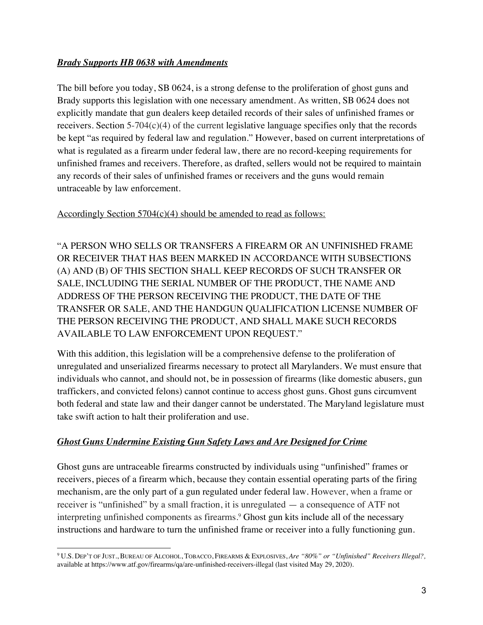#### *Brady Supports HB 0638 with Amendments*

The bill before you today, SB 0624, is a strong defense to the proliferation of ghost guns and Brady supports this legislation with one necessary amendment. As written, SB 0624 does not explicitly mandate that gun dealers keep detailed records of their sales of unfinished frames or receivers. Section 5-704(c)(4) of the current legislative language specifies only that the records be kept "as required by federal law and regulation." However, based on current interpretations of what is regulated as a firearm under federal law, there are no record-keeping requirements for unfinished frames and receivers. Therefore, as drafted, sellers would not be required to maintain any records of their sales of unfinished frames or receivers and the guns would remain untraceable by law enforcement.

Accordingly Section 5704(c)(4) should be amended to read as follows:

"A PERSON WHO SELLS OR TRANSFERS A FIREARM OR AN UNFINISHED FRAME OR RECEIVER THAT HAS BEEN MARKED IN ACCORDANCE WITH SUBSECTIONS (A) AND (B) OF THIS SECTION SHALL KEEP RECORDS OF SUCH TRANSFER OR SALE, INCLUDING THE SERIAL NUMBER OF THE PRODUCT, THE NAME AND ADDRESS OF THE PERSON RECEIVING THE PRODUCT, THE DATE OF THE TRANSFER OR SALE, AND THE HANDGUN QUALIFICATION LICENSE NUMBER OF THE PERSON RECEIVING THE PRODUCT, AND SHALL MAKE SUCH RECORDS AVAILABLE TO LAW ENFORCEMENT UPON REQUEST."

With this addition, this legislation will be a comprehensive defense to the proliferation of unregulated and unserialized firearms necessary to protect all Marylanders. We must ensure that individuals who cannot, and should not, be in possession of firearms (like domestic abusers, gun traffickers, and convicted felons) cannot continue to access ghost guns. Ghost guns circumvent both federal and state law and their danger cannot be understated. The Maryland legislature must take swift action to halt their proliferation and use.

## *Ghost Guns Undermine Existing Gun Safety Laws and Are Designed for Crime*

Ghost guns are untraceable firearms constructed by individuals using "unfinished" frames or receivers, pieces of a firearm which, because they contain essential operating parts of the firing mechanism, are the only part of a gun regulated under federal law. However, when a frame or receiver is "unfinished" by a small fraction, it is unregulated — a consequence of ATF not interpreting unfinished components as firearms.<sup>9</sup> Ghost gun kits include all of the necessary instructions and hardware to turn the unfinished frame or receiver into a fully functioning gun.

<sup>9</sup> U.S. DEP'T OF JUST., BUREAU OF ALCOHOL, TOBACCO, FIREARMS & EXPLOSIVES, *Are "80%" or "Unfinished" Receivers Illegal?,*  available at https://www.atf.gov/firearms/qa/are-unfinished-receivers-illegal (last visited May 29, 2020).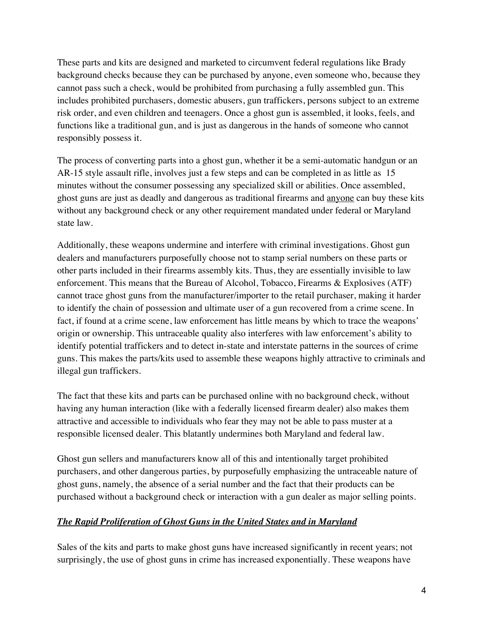These parts and kits are designed and marketed to circumvent federal regulations like Brady background checks because they can be purchased by anyone, even someone who, because they cannot pass such a check, would be prohibited from purchasing a fully assembled gun. This includes prohibited purchasers, domestic abusers, gun traffickers, persons subject to an extreme risk order, and even children and teenagers. Once a ghost gun is assembled, it looks, feels, and functions like a traditional gun, and is just as dangerous in the hands of someone who cannot responsibly possess it.

The process of converting parts into a ghost gun, whether it be a semi-automatic handgun or an AR-15 style assault rifle, involves just a few steps and can be completed in as little as 15 minutes without the consumer possessing any specialized skill or abilities. Once assembled, ghost guns are just as deadly and dangerous as traditional firearms and anyone can buy these kits without any background check or any other requirement mandated under federal or Maryland state law.

Additionally, these weapons undermine and interfere with criminal investigations. Ghost gun dealers and manufacturers purposefully choose not to stamp serial numbers on these parts or other parts included in their firearms assembly kits. Thus, they are essentially invisible to law enforcement. This means that the Bureau of Alcohol, Tobacco, Firearms & Explosives (ATF) cannot trace ghost guns from the manufacturer/importer to the retail purchaser, making it harder to identify the chain of possession and ultimate user of a gun recovered from a crime scene. In fact, if found at a crime scene, law enforcement has little means by which to trace the weapons' origin or ownership. This untraceable quality also interferes with law enforcement's ability to identify potential traffickers and to detect in-state and interstate patterns in the sources of crime guns. This makes the parts/kits used to assemble these weapons highly attractive to criminals and illegal gun traffickers.

The fact that these kits and parts can be purchased online with no background check, without having any human interaction (like with a federally licensed firearm dealer) also makes them attractive and accessible to individuals who fear they may not be able to pass muster at a responsible licensed dealer. This blatantly undermines both Maryland and federal law.

Ghost gun sellers and manufacturers know all of this and intentionally target prohibited purchasers, and other dangerous parties, by purposefully emphasizing the untraceable nature of ghost guns, namely, the absence of a serial number and the fact that their products can be purchased without a background check or interaction with a gun dealer as major selling points.

#### *The Rapid Proliferation of Ghost Guns in the United States and in Maryland*

Sales of the kits and parts to make ghost guns have increased significantly in recent years; not surprisingly, the use of ghost guns in crime has increased exponentially. These weapons have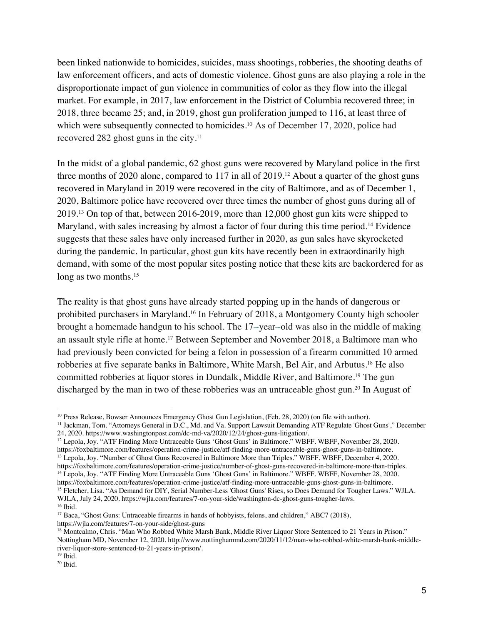been linked nationwide to homicides, suicides, mass shootings, robberies, the shooting deaths of law enforcement officers, and acts of domestic violence. Ghost guns are also playing a role in the disproportionate impact of gun violence in communities of color as they flow into the illegal market. For example, in 2017, law enforcement in the District of Columbia recovered three; in 2018, three became 25; and, in 2019, ghost gun proliferation jumped to 116, at least three of which were subsequently connected to homicides.<sup>10</sup> As of December 17, 2020, police had recovered 282 ghost guns in the city.11

In the midst of a global pandemic, 62 ghost guns were recovered by Maryland police in the first three months of 2020 alone, compared to 117 in all of 2019.12 About a quarter of the ghost guns recovered in Maryland in 2019 were recovered in the city of Baltimore, and as of December 1, 2020, Baltimore police have recovered over three times the number of ghost guns during all of 2019.13 On top of that, between 2016-2019, more than 12,000 ghost gun kits were shipped to Maryland, with sales increasing by almost a factor of four during this time period.<sup>14</sup> Evidence suggests that these sales have only increased further in 2020, as gun sales have skyrocketed during the pandemic. In particular, ghost gun kits have recently been in extraordinarily high demand, with some of the most popular sites posting notice that these kits are backordered for as long as two months.<sup>15</sup>

The reality is that ghost guns have already started popping up in the hands of dangerous or prohibited purchasers in Maryland.16 In February of 2018, a Montgomery County high schooler brought a homemade handgun to his school. The 17-year-old was also in the middle of making an assault style rifle at home.17 Between September and November 2018, a Baltimore man who had previously been convicted for being a felon in possession of a firearm committed 10 armed robberies at five separate banks in Baltimore, White Marsh, Bel Air, and Arbutus.18 He also committed robberies at liquor stores in Dundalk, Middle River, and Baltimore.19 The gun discharged by the man in two of these robberies was an untraceable ghost gun.<sup>20</sup> In August of

<sup>&</sup>lt;sup>10</sup> Press Release, Bowser Announces Emergency Ghost Gun Legislation, (Feb. 28, 2020) (on file with author).

<sup>&</sup>lt;sup>11</sup> Jackman, Tom. "Attorneys General in D.C., Md. and Va. Support Lawsuit Demanding ATF Regulate 'Ghost Guns'," December 24, 2020. https://www.washingtonpost.com/dc-md-va/2020/12/24/ghost-guns-litigation/.

<sup>&</sup>lt;sup>12</sup> Lepola, Joy. "ATF Finding More Untraceable Guns 'Ghost Guns' in Baltimore." WBFF. WBFF, November 28, 2020. https://foxbaltimore.com/features/operation-crime-justice/atf-finding-more-untraceable-guns-ghost-guns-in-baltimore.<br><sup>13</sup> Lepola, Joy. "Number of Ghost Guns Recovered in Baltimore More than Triples." WBFF. WBFF, December 4

<sup>&</sup>lt;sup>14</sup> Lepola, Joy. "ATF Finding More Untraceable Guns 'Ghost Guns' in Baltimore." WBFF. WBFF, November 28, 2020.<br>https://foxbaltimore.com/features/operation-crime-justice/atf-finding-more-untraceable-guns-ghost-guns-in-bal <sup>15</sup> Fletcher, Lisa. "As Demand for DIY, Serial Number-Less 'Ghost Guns' Rises, so Does Demand for Tougher Laws." WJLA.

WJLA, July 24, 2020. https://wjla.com/features/7-on-your-side/washington-dc-ghost-guns-tougher-laws. <sup>16</sup> Ibid.

<sup>&</sup>lt;sup>17</sup> Baca, "Ghost Guns: Untraceable firearms in hands of hobbyists, felons, and children," ABC7 (2018), https://wjla.com/features/7-on-your-side/ghost-guns

<sup>&</sup>lt;sup>18</sup> Montcalmo, Chris. "Man Who Robbed White Marsh Bank, Middle River Liquor Store Sentenced to 21 Years in Prison." Nottingham MD, November 12, 2020. http://www.nottinghammd.com/2020/11/12/man-who-robbed-white-marsh-bank-middleriver-liquor-store-sentenced-to-21-years-in-prison/. 19 Ibid.

<sup>20</sup> Ibid.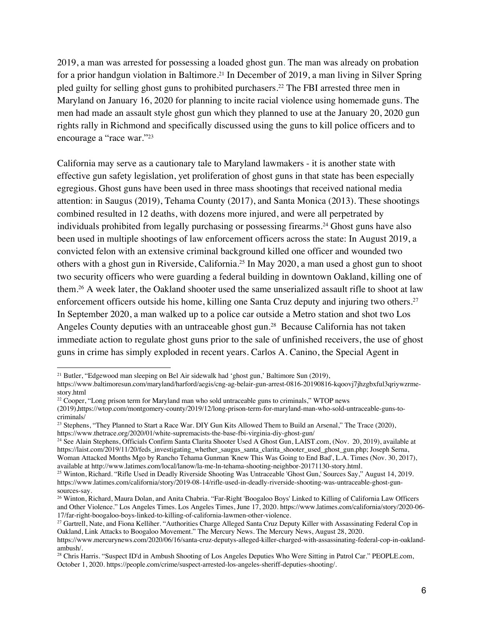2019, a man was arrested for possessing a loaded ghost gun. The man was already on probation for a prior handgun violation in Baltimore.<sup>21</sup> In December of 2019, a man living in Silver Spring pled guilty for selling ghost guns to prohibited purchasers.22 The FBI arrested three men in Maryland on January 16, 2020 for planning to incite racial violence using homemade guns. The men had made an assault style ghost gun which they planned to use at the January 20, 2020 gun rights rally in Richmond and specifically discussed using the guns to kill police officers and to encourage a "race war."23

California may serve as a cautionary tale to Maryland lawmakers - it is another state with effective gun safety legislation, yet proliferation of ghost guns in that state has been especially egregious. Ghost guns have been used in three mass shootings that received national media attention: in Saugus (2019), Tehama County (2017), and Santa Monica (2013). These shootings combined resulted in 12 deaths, with dozens more injured, and were all perpetrated by individuals prohibited from legally purchasing or possessing firearms.24 Ghost guns have also been used in multiple shootings of law enforcement officers across the state: In August 2019, a convicted felon with an extensive criminal background killed one officer and wounded two others with a ghost gun in Riverside, California.25 In May 2020, a man used a ghost gun to shoot two security officers who were guarding a federal building in downtown Oakland, killing one of them.26 A week later, the Oakland shooter used the same unserialized assault rifle to shoot at law enforcement officers outside his home, killing one Santa Cruz deputy and injuring two others.<sup>27</sup> In September 2020, a man walked up to a police car outside a Metro station and shot two Los Angeles County deputies with an untraceable ghost gun.<sup>28</sup> Because California has not taken immediate action to regulate ghost guns prior to the sale of unfinished receivers, the use of ghost guns in crime has simply exploded in recent years. Carlos A. Canino, the Special Agent in

<sup>&</sup>lt;sup>21</sup> Butler, "Edgewood man sleeping on Bel Air sidewalk had 'ghost gun,' Baltimore Sun (2019),

https://www.baltimoresun.com/maryland/harford/aegis/cng-ag-belair-gun-arrest-0816-20190816-kqoovj7jhzgbxful3qriywzrmestory.html

 $22 \text{ Cooper},$  "Long prison term for Maryland man who sold untraceable guns to criminals," WTOP news

<sup>(2019),</sup>https://wtop.com/montgomery-county/2019/12/long-prison-term-for-maryland-man-who-sold-untraceable-guns-tocriminals/

<sup>&</sup>lt;sup>23</sup> Stephens, "They Planned to Start a Race War. DIY Gun Kits Allowed Them to Build an Arsenal," The Trace (2020), https://www.thetrace.org/2020/01/white-supremacists-the-base-fbi-virginia-diy-ghost-gun/

<sup>&</sup>lt;sup>24</sup> See Alain Stephens, Officials Confirm Santa Clarita Shooter Used A Ghost Gun, LAIST.com, (Nov. 20, 2019), available at https://laist.com/2019/11/20/feds\_investigating\_whether\_saugus\_santa\_clarita\_shooter\_used\_ghost\_gun.php; Joseph Serna, Woman Attacked Months Mgo by Rancho Tehama Gunman 'Knew This Was Going to End Bad', L.A. Times (Nov. 30, 2017), available at http://www.latimes.com/local/lanow/la-me-ln-tehama-shooting-neighbor-20171130-story.html.

<sup>&</sup>lt;sup>25</sup> Winton, Richard. "Rifle Used in Deadly Riverside Shooting Was Untraceable 'Ghost Gun,' Sources Say," August 14, 2019. https://www.latimes.com/california/story/2019-08-14/rifle-used-in-deadly-riverside-shooting-was-untraceable-ghost-gun-

<sup>&</sup>lt;sup>26</sup> Winton, Richard, Maura Dolan, and Anita Chabria. "Far-Right 'Boogaloo Boys' Linked to Killing of California Law Officers and Other Violence." Los Angeles Times. Los Angeles Times, June 17, 2020. https://www.latimes.com/california/story/2020-06-<br>17/far-right-boogaloo-boys-linked-to-killing-of-california-lawmen-other-violence.

<sup>&</sup>lt;sup>27</sup> Gartrell, Nate, and Fiona Kelliher. "Authorities Charge Alleged Santa Cruz Deputy Killer with Assassinating Federal Cop in Oakland, Link Attacks to Boogaloo Movement." The Mercury News. The Mercury News, August 28, 2020.

https://www.mercurynews.com/2020/06/16/santa-cruz-deputys-alleged-killer-charged-with-assassinating-federal-cop-in-oaklandambush/.

<sup>&</sup>lt;sup>28</sup> Chris Harris. "Suspect ID'd in Ambush Shooting of Los Angeles Deputies Who Were Sitting in Patrol Car." PEOPLE.com, October 1, 2020. https://people.com/crime/suspect-arrested-los-angeles-sheriff-deputies-shooting/.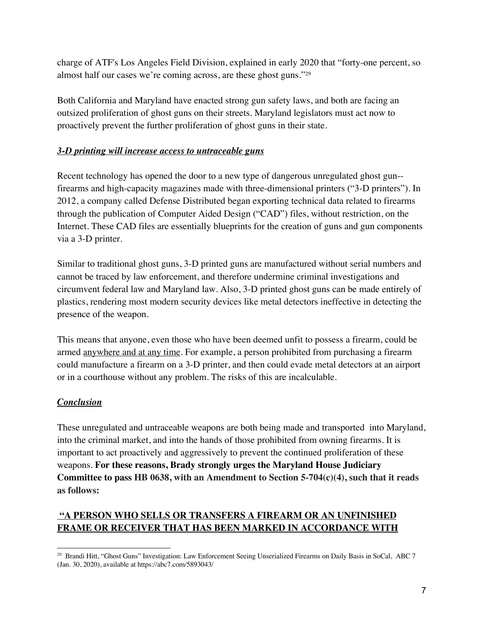charge of ATF's Los Angeles Field Division, explained in early 2020 that "forty-one percent, so almost half our cases we're coming across, are these ghost guns."29

Both California and Maryland have enacted strong gun safety laws, and both are facing an outsized proliferation of ghost guns on their streets. Maryland legislators must act now to proactively prevent the further proliferation of ghost guns in their state.

#### *3-D printing will increase access to untraceable guns*

Recent technology has opened the door to a new type of dangerous unregulated ghost gun- firearms and high-capacity magazines made with three-dimensional printers ("3-D printers"). In 2012, a company called Defense Distributed began exporting technical data related to firearms through the publication of Computer Aided Design ("CAD") files, without restriction, on the Internet. These CAD files are essentially blueprints for the creation of guns and gun components via a 3-D printer.

Similar to traditional ghost guns, 3-D printed guns are manufactured without serial numbers and cannot be traced by law enforcement, and therefore undermine criminal investigations and circumvent federal law and Maryland law. Also, 3-D printed ghost guns can be made entirely of plastics, rendering most modern security devices like metal detectors ineffective in detecting the presence of the weapon.

This means that anyone, even those who have been deemed unfit to possess a firearm, could be armed anywhere and at any time. For example, a person prohibited from purchasing a firearm could manufacture a firearm on a 3-D printer, and then could evade metal detectors at an airport or in a courthouse without any problem. The risks of this are incalculable.

## *Conclusion*

These unregulated and untraceable weapons are both being made and transported into Maryland, into the criminal market, and into the hands of those prohibited from owning firearms. It is important to act proactively and aggressively to prevent the continued proliferation of these weapons. **For these reasons, Brady strongly urges the Maryland House Judiciary Committee to pass HB 0638, with an Amendment to Section 5-704(c)(4), such that it reads as follows:**

## **"A PERSON WHO SELLS OR TRANSFERS A FIREARM OR AN UNFINISHED FRAME OR RECEIVER THAT HAS BEEN MARKED IN ACCORDANCE WITH**

<sup>&</sup>lt;sup>29</sup> Brandi Hitt, "Ghost Guns" Investigation: Law Enforcement Seeing Unserialized Firearms on Daily Basis in SoCal, ABC 7 (Jan. 30, 2020), available at https://abc7.com/5893043/